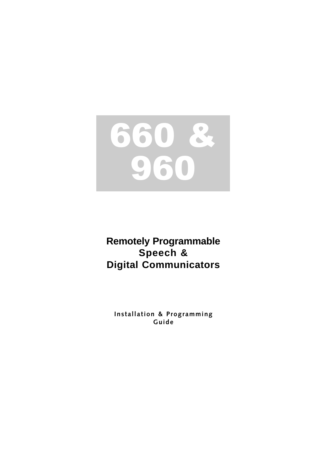

# **Remotely Programmable** Speech & **Digital Communicators**

Installation & Programming Guide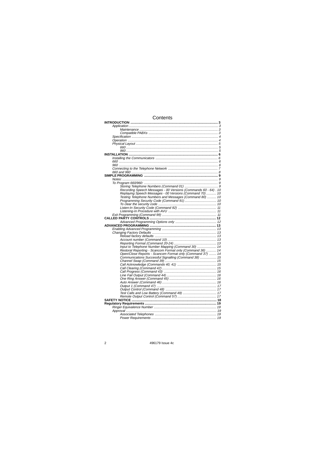### Contents

| Recording Speech Messages - 00 Versions (Commands 60 - 64). 10 |  |
|----------------------------------------------------------------|--|
| Replaying Speech Messages - 00 Versions (Command 70)  10       |  |
| Testing Telephone Numbers and Messages (Command 80)  10        |  |
|                                                                |  |
|                                                                |  |
|                                                                |  |
|                                                                |  |
|                                                                |  |
|                                                                |  |
|                                                                |  |
|                                                                |  |
|                                                                |  |
|                                                                |  |
|                                                                |  |
|                                                                |  |
|                                                                |  |
|                                                                |  |
| Input to Telephone Number Mapping (Command 30)  14             |  |
| Restoral Reporting - Scancom Format only (Command 36)  14      |  |
| Open/Close Reports - Scancom Format only (Command 37)  14      |  |
| Communications Successful Signalling (Command 38)  15          |  |
|                                                                |  |
|                                                                |  |
|                                                                |  |
|                                                                |  |
|                                                                |  |
|                                                                |  |
|                                                                |  |
|                                                                |  |
|                                                                |  |
|                                                                |  |
|                                                                |  |
|                                                                |  |
|                                                                |  |
|                                                                |  |
|                                                                |  |
|                                                                |  |
|                                                                |  |
|                                                                |  |
|                                                                |  |

 $\overline{2}$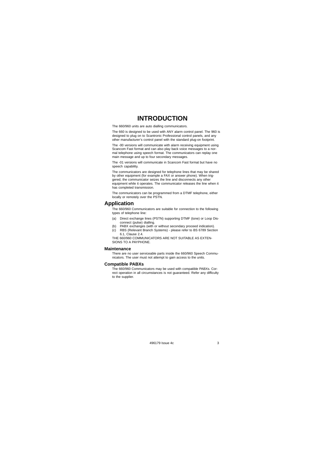### **INTRODUCTION**

The 660/960 units are auto dialling communicators.

The 660 is designed to be used with ANY alarm control panel. The 960 is designed to plug on to Scantronic Professional control panels, and any other manufacturer's control panel with the standard plug-on footprint.

The -00 versions will communicate with alarm receiving equipment using Scancom Fast format and can also play back voice messages to a nor-mal telephone using speech format. The communicators can replay one main message and up to four secondary messages.

The -01 versions will communicate in Scancom Fast format but have no speech capability.

The communicators are designed for telephone lines that may be shared by other equipment (for example a FAX or answer phone). When trig-gered, the communicator seizes the line and disconnects any other

equipment while it operates. The communicator releases the line when it has completed transmission.

The communicators can be programmed from a DTMF telephone, either locally or remotely over the PSTN.

#### **Application**

The 660/960 Communicators are suitable for connection to the following types of telephone line:

- (a) Direct exchange lines (PSTN) supporting DTMF (tone) or Loop Dis-
- connect (pulse) dialling. (b) PABX exchanges (with or without secondary proceed indication). (c) RBS (Relevant Branch Systems) please refer to BS 6789 Section
- 6.1, Clause 2.4. THE 660/960 COMMUNICATORS ARE NOT SUITABLE AS EXTEN-

## SIONS TO A PAYPHONE.

### **Maintenance**

There are no user serviceable parts inside the 660/960 Speech Commu-nicators. The user must not attempt to gain access to the units.

#### **Compatible PABXs**

The 660/960 Communicators may be used with compatible PABXs. Correct operation in all circumstances is not guaranteed. Refer any difficulty to the supplier.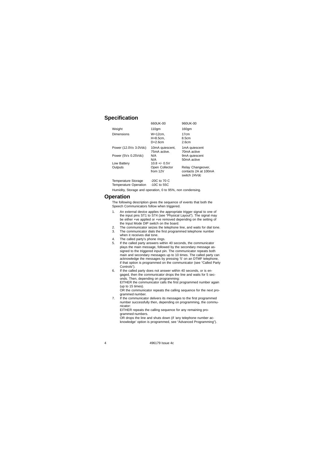### **Specification**

|                       | 660UK-00                            | 960UK-00                                                  |
|-----------------------|-------------------------------------|-----------------------------------------------------------|
| Weight                | $110$ qm                            | 160 <sub>am</sub>                                         |
| Dimensions            | W=12cm.<br>$H=8.5cm$ .<br>$D=2.6cm$ | 17cm<br>8.5cm<br>2.6cm                                    |
| Power (12.0V± 3.0Vdc) | 10mA quiescent,<br>75mA active.     | 1mA quiescent<br>70mA active                              |
| Power $(5V± 0.25Vdc)$ | N/A<br>N/A                          | 9mA quiescent<br>50mA active                              |
| Low Battery           | $10.8 + 0.5V$                       |                                                           |
| Outputs               | Open Collector<br>from 12V          | Relay Changeover,<br>contacts 2A at 100mA<br>switch 24Vdc |

Temperature Storage -20C to 70 C Temperature Operation -10C to 55C

Humidity, Storage and operation, 0 to 95%, non condensing.

### **Operation**

The following description gives the sequence of events that both the Speech Communicators follow when triggered.

- 1. An external device applies the appropriate trigger signal to one of<br>the input pins ST1 to ST4 (see "Physical Layout"). The signal may<br>be either +ve applied or +ve removed depending on the setting of<br>the Input Mode DIP s
- 3. The communicator dials the first programmed telephone number
- when it receives dial tone.
- 4. The called party's phone rings. 5. If the called party answers within 40 seconds, the communicator plays the main message, followed by the secondary message assigned to the triggered input pin. The communicator repeats both main and secondary messages up to 10 times. The called party can acknowledge the messages by pressing '5' on an DTMF telephone, if that option is programmed on the communicator (see "Called Party Controls").
- 6. If the called party does not answer within 40 seconds, or is en-gaged, then the communicator drops the line and waits for 5 seconds. Then, depending on programming: EITHER the communicator calls the first programmed number again

(up to 15 times). OR the communicator repeats the calling sequence for the next programmed number.

7. If the communicator delivers its messages to the first programmed number successfully then, depending on programming, the communicator:

EITHER repeats the calling sequence for any remaining programmed numbers.

OR drops the line and shuts down (if 'any telephone number ac-knowledge' option is programmed, see "Advanced Programming").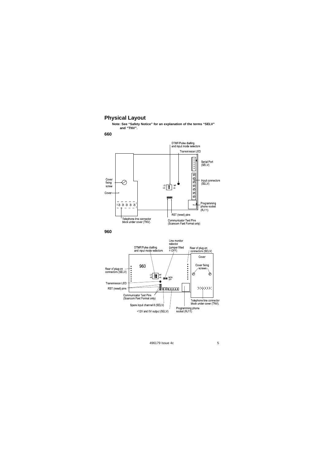### **Physical Layout**

**Note: See "Safety Notice" for an explanation of the terms "SELV" and "TNV".** 



**960** 

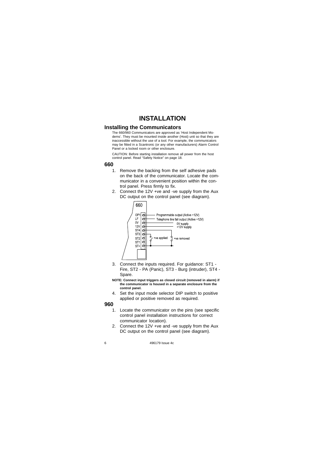## **INSTALLATION**

### **Installing the Communicators**

The 660/960 Communicators are approved as 'Host Independent Modems'. They must be mounted inside another (Host) unit so that they are inaccessible without the use of a tool. For example, the communicators may be fitted in a Scantronic (or any other manufacturers) Alarm Control Panel or a locked room or other enclosure.

CAUTION: Before starting installation remove all power from the host control panel. Read "Safety Notice" on page 18.

### **660**

- 1. Remove the backing from the self adhesive pads on the back of the communicator. Locate the communicator in a convenient position within the control panel. Press firmly to fix.
- 2. Connect the 12V +ve and -ve supply from the Aux DC output on the control panel (see diagram).



3. Connect the inputs required. For guidance: ST1 - Fire, ST2 - PA (Panic), ST3 - Burg (intruder), ST4 - Spare.

**NOTE: Connect input triggers as closed circuit (removed in alarm) if the communicator is housed in a separate enclosure from the control panel.** 

4. Set the input mode selector DIP switch to positive applied or positive removed as required.

#### **960**

- 1. Locate the communicator on the pins (see specific control panel installation instructions for correct communicator location).
- 2. Connect the 12V +ve and -ve supply from the Aux DC output on the control panel (see diagram).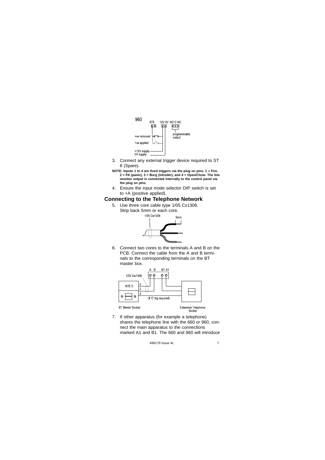

- 3. Connect any external trigger device required to ST 8 (Spare).
- **NOTE: Inputs 1 to 4 are fixed triggers via the plug on pins. 1 = Fire, 2 = PA (panic), 3 = Burg (intruder), and 4 = Open/Close. The line monitor output is connected internally to the control panel via the plug on pins.**
- 4. Ensure the input mode selector DIP switch is set to +A (positive applied).

### **Connecting to the Telephone Network**

5. Use three core cable type 1/05 Cx1308. Strip back 5mm or each core.



6. Connect two cores to the terminals A and B on the PCB. Connect the cable from the A and B terminals to the corresponding terminals on the BT master box.



7. If other apparatus (for example a telephone) shares the telephone line with the 660 or 960, connect the main apparatus to the connections marked A1 and B1. The 660 and 960 will introduce

```
496179 Issue 4c 7
```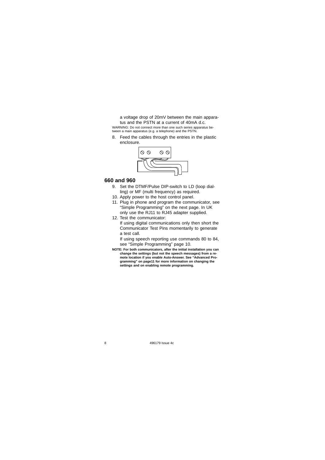a voltage drop of 20mV between the main apparatus and the PSTN at a current of 40mA d.c. WARNING: Do not connect more than one such series apparatus be-tween a main apparatus (e.g. a telephone) and the PSTN.

8. Feed the cables through the entries in the plastic enclosure.



### **660 and 960**

- 9. Set the DTMF/Pulse DIP-switch to LD (loop dialling) or MF (multi frequency) as required.
- 10. Apply power to the host control panel.
- 11. Plug in phone and program the communicator, see "Simple Programming" on the next page. In UK only use the RJ11 to RJ45 adapter supplied.
- 12. Test the communicator: If using digital communications only then short the

Communicator Test Pins momentarily to generate a test call.

If using speech reporting use commands 80 to 84, see "Simple Programming" page 10.

NOTE: For both communicators, after the initial installation you can<br>change the settings (but not the speech messages) from a re-<br>mote location if you enable Auto-Answer. See "Advanced Pro-<br>gramming" on page11 for more inf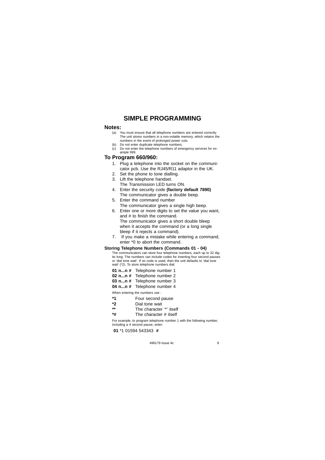### **SIMPLE PROGRAMMING**

#### **Notes:**

- (a) You must ensure that all telephone numbers are entered correctly. The unit stores numbers in a non-volatile memory, which retains the numbers in the event of prolonged power cuts.
- (b) Do not enter duplicate telephone numbers.<br>
(c) Do not enter the telephone numbers of em-Do not enter the telephone numbers of emergency services for example 999.

### **To Program 660/960:**

- 1. Plug a telephone into the socket on the communicator pcb. Use the RJ45/R11 adaptor in the UK.
- 2. Set the phone to tone dialling.
- 3. Lift the telephone handset.
- The Transmission LED turns ON.
- 4. Enter the security code **(factory default 7890)**
- The communicator gives a double beep. 5. Enter the command number
- The communicator gives a single high beep.
- 6. Enter one or more digits to set the value you want, and # to finish the command. The communicator gives a short double bleep when it accepts the command (or a long single bleep if it rejects a command).
- 7. If you make a mistake while entering a command, enter \*0 to abort the command.

### **Storing Telephone Numbers (Commands 01 - 04)**

The communicators can store four telephone numbers, each up to 32 digits long. The numbers can include codes for inserting four second pauses or 'dial tone wait'. If no code is used, then the unit defaults to 'dial tone wait' (\*2). To store telephone numbers dial:

- **01 n...n #** Telephone number 1
- **02 n...n #** Telephone number 2
- **03 n...n #** Telephone number 3
- **04 n...n #** Telephone number 4

When entering the numbers use :

- **\*1** Four second pause
- **\*2** Dial tone wait
- \*\* The character '\*' itself<br>**\*#** The character # itself
- The character # itself

For example, to program telephone number 1 with the following number, including a 4 second pause, enter:

**01** \*1 01594 543343 **#**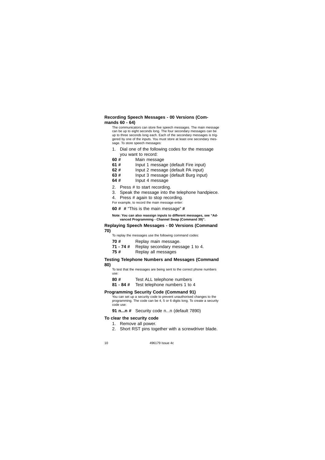### **Recording Speech Messages - 00 Versions (Commands 60 - 64)**

The communicators can store five speech messages. The main message can be up to eight seconds long. The four secondary messages can be up to three seconds long each. Each of the secondary messages is triggered by one of the inputs. You must store at least one secondary message. To store speech messages:

- 1. Dial one of the following codes for the message
- you want to record:<br>60 # Main messa
- **60 #** Main message
- **61 # Input 1 message (default Fire input)**<br>**62 # Input 2 message (default PA input)**
- **62 #** Input 2 message (default PA input)
- **63 #** Input 3 message (default Burg input)
- **64 #** Input 4 message
- 2. Press # to start recording.
- 
- 3. Speak the message into the telephone handpiece.
- 4. Press # again to stop recording. For example, to record the main message enter:
- **60 # #** "This is the main message" **#**

**Note: You can also reassign inputs to different messages, see "Advanced Programming - Channel Swap (Command 39)".** 

#### **Replaying Speech Messages - 00 Versions (Command 70)**

To replay the messages use the following command codes:

- **70 #** Replay main message.
- **71 74 #** Replay secondary message 1 to 4.
- **75 #** Replay all messages

### **Testing Telephone Numbers and Messages (Command 80)**

- To test that the messages are being sent to the correct phone numbers use:
- **80 #** Test ALL telephone numbers
- **81 84 #** Test telephone numbers 1 to 4

### **Programming Security Code (Command 91)**

You can set up a security code to prevent unauthorised changes to the programming. The code can be 4, 5 or 6 digits long. To create a security code use:

**91 n...n #** Security code n...n (default 7890)

#### **To clear the security code**

- 1. Remove all power.
- 2. Short RST pins together with a screwdriver blade.
-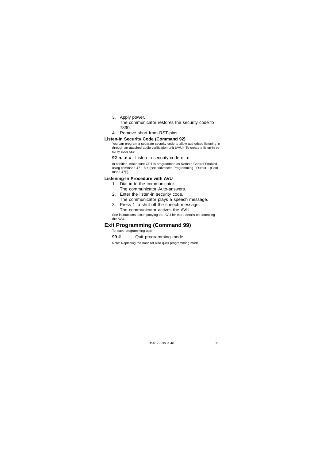### 3. Apply power.

The communicator restores the security code to 7890.

### 4. Remove short from RST-pins.

### **Listen-In Security Code (Command 92)**

You can program a separate security code to allow authorised listening in through an attached audio verification unit (AVU). To create a listen-in se-curity code use:

### **92 n...n #** Listen in security code n...n

In addition, make sure OP1 is programmed as Remote Control Enabled<br>using command 47 1 8 # (see "Advanced Programming - Output 1 (Com-<br>mand 47)").

### **Listening-In Procedure with AVU**

- 1. Dial in to the communicator.
	- The communicator Auto-answers.
- 2. Enter the listen-in security code. The communicator plays a speech message.
- 3. Press 1 to shut off the speech message.

The communicator actives the AVU. See instructions accompanying the AVU for more details on controling the AVU.

### **Exit Programming (Command 99)**

To leave programming use:

**99 #** Quit programming mode.

Note: Replacing the handset also quits programming mode.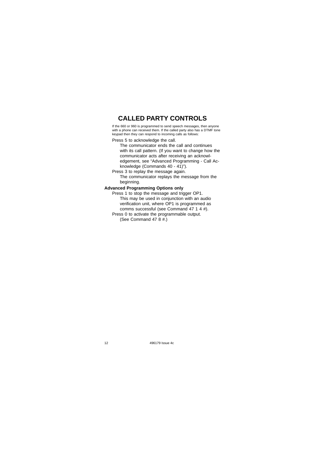### **CALLED PARTY CONTROLS**

If the 660 or 960 is programmed to send speech messages, then anyone with a phone can received them. If the called party also has a DTMF tone keypad then they can respond to incoming calls as follows:

Press 5 to acknowledge the call.

The communicator ends the call and continues with its call pattern. (If you want to change how the communicator acts after receiving an acknowledgement, see "Advanced Programming - Call Acknowledge (Commands 40 - 41)").

Press 3 to replay the message again.

The communicator replays the message from the beginning.

### **Advanced Programming Options only**

Press 1 to stop the message and trigger OP1. This may be used in conjunction with an audio verification unit, where OP1 is programmed as comms successful (see Command 47 1 4 #).

Press 0 to activate the programmable output. (See Command 47  $8#$ .)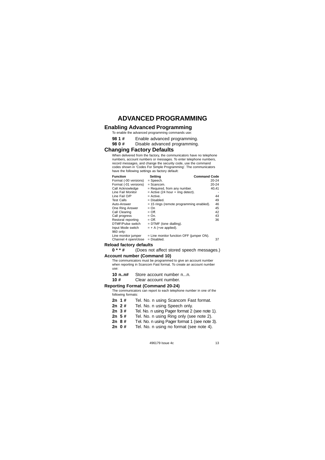### **ADVANCED PROGRAMMING**

### **Enabling Advanced Programming**

- To enable the advanced programming commands use:
- **98 1 #** Enable advanced programming.

### **98 0 #** Disable advanced programming.

### **Changing Factory Defaults**

When delivered from the factory, the communicators have no telephone numbers, account numbers or messages. To enter telephone numbers, record messages, and change the security code, use the command codes shown in 'Codes For Simple Programming'. The communicators have the following settings as factory default:

| <b>Function</b>       | Setting                                    | <b>Command Code</b> |
|-----------------------|--------------------------------------------|---------------------|
| Format (-00 versions) | = Speech.                                  | 20-24               |
| Format (-01 versions) | $=$ Scancom.                               | 20-24               |
| Call Acknowledge      | = Required, from any number.               | 40,41               |
| Line Fail Monitor     | $=$ Active (24 hour $+$ ring detect).      |                     |
| Line Fail O/P         | $=$ Active.                                | 44                  |
| <b>Test Calls</b>     | = Disabled.                                | 49                  |
| Auto-Answer           | = 15 rings (remote programming enabled).   | 46                  |
| One Ring Answer       | $=$ On                                     | 45                  |
| Call Clearing         | $=$ Off.                                   | 42                  |
| Call progress         | = On.                                      | 43                  |
| Restoral reporting    | $=$ Off.                                   | 36                  |
| DTMF/Pulse switch     | $=$ DTMF (tone dialling).                  |                     |
| Input Mode switch     | $= + A$ (+ve applied).                     |                     |
| 960 only:             |                                            |                     |
| Line monitor jumper   | $=$ Line monitor function OFF (jumper ON). |                     |
| Channel 4 open/close  | = Disabled.                                | 37                  |
| load factory defaults |                                            |                     |

# Reload factory  $0**#$

### **0 \* \* #** (Does not affect stored speech messages.) **Account number (Command 10)**

### The communicators must be programmed to give an account number

when reporting in Scancom Fast format. To create an account number use:

10 n..n# Store account number n...n.<br>10 # Clear account number.

### Clear account number.

### **Reporting Format (Command 20-24)**

The communicators can report to each telephone number in one of the following formats:

- 2n 1 # Tel. No. n using Scancom Fast format.<br>2n 2 # Tel. No. n using Speech only.
- Tel. No. n using Speech only.
- **2n 3 #** Tel. No. n using Pager format 2 (see note 1).
- Tel. No. n using Ring only (see note 2).
- 
- **2n 8 #** Tel. No. n using Pager format 1 (see note 3). Tel. No. n using no format (see note 4).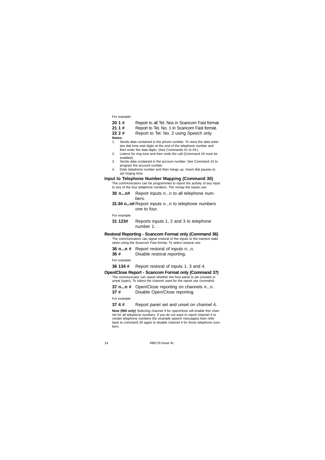For example:

- **20 1 #** Report to all Tel. Nos in Scancom Fast format.
- **21 1 #** Report to Tel. No. 1 in Scancom Fast format.
- **22 2 #** Report to Tel. No. 2 using Speech only.

**Notes:** 

- 1. Sends data contained in the phone number. To store the data enter two dial tone wait digits at the end of the telephone number and then enter the data digits. (See Commands 01 to 04.) 2. Listens for ring tone and then ends the call (Command 43 must be
- enabled). 3. Sends data contained in the account number. See Command 10 to
	- program the account number.
- 4. Dials telephone number and then hangs up. Insert dial pauses to set ringing time.

### **Input to Telephone Number Mapping (Command 30)**

The communicators can be programmed to report the activity of any input to any of the four telephone numbers. The remap the inputs use:

- **30 n...n#** Report inputs n...n to all telephone numbers.
- **31-34 n...n#** Report inputs n...n to telephone numbers one to four.

For example:

**31 123#** Reports inputs 1, 2 and 3 to telephone number 1.

### **Restoral Reporting - Scancom Format only (Command 36)**

The communicators can signal restoral of the inputs to the inactive state when using the Scancom Fast format. To select restoral use:

- **36 n...n #** Report restoral of inputs n...n. **36 #** Disable restoral reporting.
- 

For example:

### **36 134 #** Report restoral of inputs 1, 3 and 4.

- **Open/Close Report Scancom Format only (Command 37)**  The communicator can report whether the host panel is set (closed) or unset (open). To select the channel used for the report use command:
	-
	- **37 n...n #** Open/Close reporting on channels n...n. Disable Open/Close reporting.

For example:

**37 4 #** Report panel set and unset on channel 4.

**Note (960 only)** Selecting channel 4 for open/close will enable this chan-nel for all telephone numbers. If you do not want to report channel 4 to certain telephone numbers (for example speech messages) then refer back to command 30 again to disable channel 4 for those telephone numbers.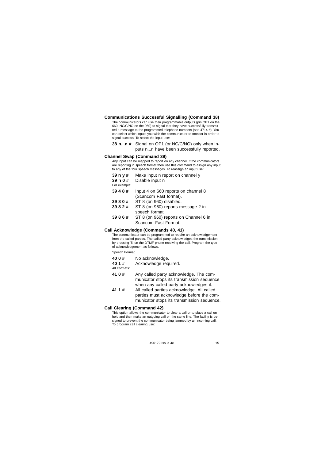### **Communications Successful Signalling (Command 38)**

The communicators can use their programmable outputs (pin OP1 on the 660, NC/C/NO on the 960) to signal that they have successfully transmitted a message to the programmed telephone numbers (see 4714 #). You can select which inputs you wish the communicator to monitor in order to signal success. To select the input use:

**38 n...n #** Signal on OP1 (or NC/C/NO) only when inputs n...n have been successfully reported.

#### **Channel Swap (Command 39)**

Any input can be mapped to report on any channel. If the communicators are reporting in speech format then use this command to assign any input to any of the four speech messages. To reassign an input use:

- **39 n y #** Make input n report on channel y
- **39 n 0 #** Disable input n

For example:

- **39 4 8 #** Input 4 on 660 reports on channel 8
	- (Scancom Fast format).
- **39 8 0 # ST 8 (on 960) disabled.**<br>**39 8 2 # ST 8 (on 960) reports m**
- **ST 8 (on 960) reports message 2 in** speech format.
- **39 8 6 #** ST 8 (on 960) reports on Channel 6 in Scancom Fast Format.

### **Call Acknowledge (Commands 40, 41)**

The communicator can be programmed to require an acknowledgement from the called parties. The called party acknowledges the transmission by pressing '5' on the DTMF phone receiving the call. Program the type of acknowledgement as follows.

Speech Format:

- 
- 40 0 # No acknowledge.<br>40 1 # Acknowledge reg **40 1 #** Acknowledge required. All Formats:
- 
- **41 0 #**  Any called party acknowledge. The communicator stops its transmission sequence when any called party acknowledges it.
- **41 1 #**  All called parties acknowledge All called parties must acknowledge before the communicator stops its transmission sequence.

### **Call Clearing (Command 42)**

This option allows the communicator to clear a call or to place a call on hold and then make an outgoing call on the same line. The facility is de-signed to prevent the communicator being jammed by an incoming call. To program call clearing use: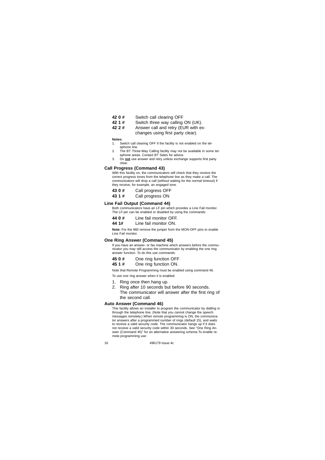- 
- **42 0 #** Switch call clearing OFF<br>**42 1 #** Switch three way calling **42 1 #** Switch three way calling ON (UK).<br>**42 2 #** Answer call and retry (EUR with e)
- Answer call and retry (EUR with ex-
- changes using first party clear).

**Notes:** 

- 1. Switch call clearing OFF if the facility is not enabled on the telephone line.
- 
- 2. The BT Three-Way Calling facility may not be available in some tel-ephone areas. Contact BT Sales for advice.
- 3. Do **not** use answer and retry unless exchange supports first party clear.

#### **Call Progress (Command 43)**

With this facility on, the communicators will check that they receive the<br>correct progress tones from the telephone line as they make a call. The<br>communicators will drop a call (without waiting for the normal timeout) if they receive, for example, an engaged tone.

- **43 0 #** Call progress OFF
- Call progress ON

### **Line Fail Output (Command 44)**

Both communicators have an LF pin which provides a Line Fail monitor. The LF-pin can be enabled or disabled by using the commands:

- **44 0 #** Line fail monitor OFF.<br>**44 1#** I ine fail monitor ON
- **Line fail monitor ON.**

**Note:** For the 960 remove the jumper from the MON-OFF pins to enable Line Fail monitor.

#### **One Ring Answer (Command 45)**

If you have an answer- or fax machine which answers before the commu-nicator you may still access the communicator by enabling the one ring answer function. To do this use commands:

|  | 45 0 # | One ring function OFF |
|--|--------|-----------------------|
|--|--------|-----------------------|

**45 1 #** One ring function ON.

Note that Remote Programming must be enabled using command 46. To use one ring answer when it is enabled:

- 1. Ring once then hang up.
- 2. Ring after 10 seconds but before 90 seconds.
- The communicator will answer after the first ring of the second call.

#### **Auto Answer (Command 46)**

This facility allows an installer to program the communicator by dialling in through the telephone line. (Note that you cannot change the speech messages remotely.) When remote programming is ON, the communicator answers after a programmed number of rings (default 15), and waits to receive a valid security code. The communicator hangs up if it does not receive a valid security code within 30 seconds. See "One Ring Answer (Command 45)" for an alternative answering scheme.To enable remote programming use: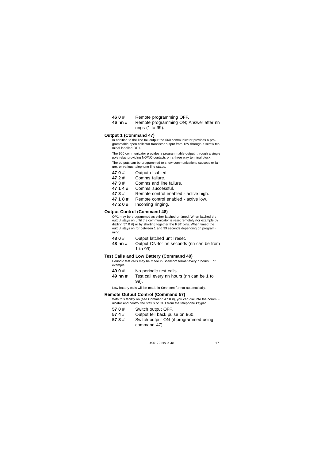- 
- **46 0 #** Remote programming OFF.<br>**46 nn #** Remote programming ON: Remote programming ON; Answer after nn rings (1 to 99).

### **Output 1 (Command 47)**

In addition to the line fail output the 660 communicator provides a programmable open collector transistor output from 12V through a screw ter-minal labelled OP1.

The 960 communicator provides a programmable output, through a single pole relay providing NO/NC-contacts on a three way terminal block.

The outputs can be programmed to show communications success or fail-ure, or various telephone line states.

|  | 470# | Output disabled. |  |
|--|------|------------------|--|
|--|------|------------------|--|

| 47 2 # | Comms failure. |
|--------|----------------|

**47 3 #** Comms and line failure.

- 
- **47 1 4 #** Comms successful. **47 8 #** Remote control enabled - active high.
- 47 1 8 # Remote control enabled active low.<br>47 2 0 # Incoming ringing.
- **47 2 0 #** Incoming ringing.

#### **Output Control (Command 48)**

OP1 may be programmed as either latched or timed. When latched the<br>output stays on until the communicator is reset remotely (for example by<br>dialling 57 0 #) or by shorting together the RST pins. When timed the<br>output stays ming.

- 
- 48 0 # Output latched until reset.<br>48 nn # Output ON-for nn seconds Output ON-for nn seconds (nn can be from 1 to 99).

### **Test Calls and Low Battery (Command 49)**

Periodic test calls may be made in Scancom format every n hours. For example:

- 
- 49 0 # No periodic test calls.<br>49 nn # Test call every nn hou Test call every nn hours (nn can be 1 to 99).

Low battery calls will be made in Scancom format automatically.

#### **Remote Output Control (Command 57)**

With this facility on (see Command 47 8 #), you can dial into the communicator and control the status of OP1 from the telephone keypad

- **57 0 #** Switch output OFF.
- 
- **57 4 # Cutput tell back pulse on 960.**<br>**57 8 # Switch output ON (if programm** Switch output ON (if programmed using command 47).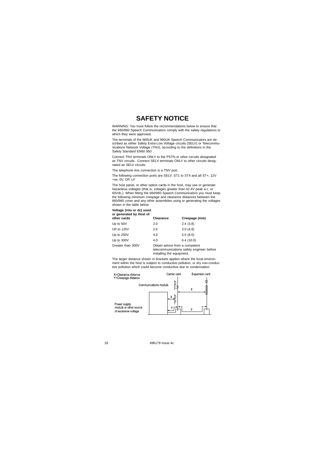### **SAFETY NOTICE**

WARNING: You must follow the recommendations below to ensure that the 660/960 Speech Communicators comply with the safety regulations to which they were approved.

The terminals of the 660UK and 960UK Speech Communicators are described as either Safety Extra-Low Voltage circuits (SELV) or Telecommu-nications Network Voltage (TNV), according to the definitions in the Safety Standard EN60 950.

Connect TNV terminals ONLY to the PSTN or other circuits designated as TNV circuits.. Connect SELV terminals ONLY to other circuits desig-nated as SELV circuits.

The telephone line connection is a TNV port.

The following connection ports are SELV: ST1 to ST4 and all ST+, 12V +ve, 0V, OP, LF

The host panel, or other option cards in the host, may use or generate<br>hazardous voltages (that is, voltages greater than 42.4V peak a.c. or<br>60Vdc.). When fitting the 660/960 Speech Communicators you must keep<br>the followin shown in the table below:

#### **Voltage (rms or dc) used**

#### **or generated by Host of**

| other cards       | Clearance                      | Creepage (mm) |
|-------------------|--------------------------------|---------------|
| Up to 50V         | 2.0                            | 2.4(3.8)      |
| UP to 125V        | 2.6                            | 3.0(4.8)      |
| Up to 250V        | 4.0                            | 5.0(8.0)      |
| Up to 300V        | 4.0                            | 6.4(10.0)     |
| Greater than 300V | Obtain advice from a competent |               |

telecommunications safety engineer before installing the equipment.

The larger distance shown in brackets applies where the local environment within the host is subject to conductive pollution, or dry non-conduc-tive pollution which could become conductive due to condensation.

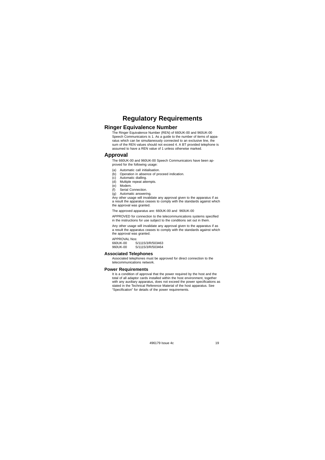### **Regulatory Requirements**

### **Ringer Equivalence Number**

The Ringer Equivalence Number (REN) of 660UK-00 and 960UK-00 Speech Communicators is 1. As a guide to the number of items of apparatus which can be simultaneously connected to an exclusive line, the sum of the REN values should not exceed 4. A BT provided telephone is assumed to have a REN value of 1 unless otherwise marked.

### **Approval**

The 660UK-00 and 960UK-00 Speech Communicators have been ap proved for the following usage:

- (a) Automatic call initialisation.
- (b) Operation in absence of proceed indication. (c) Automatic dialling.
- 
- (d) Multiple repeat attempts. (e) Modem.
- (f) Serial Connection.
- 

 (g) Automatic answering. Any other usage will invalidate any approval given to the apparatus if as a result the apparatus ceases to comply with the standards against which the approval was granted.

The approved apparatus are: 660UK-00 and 960UK-00

APPROVED for connection to the telecommunications systems specified in the instructions for use subject to the conditions set out in them.

Any other usage will invalidate any approval given to the apparatus if as a result the apparatus ceases to comply with the standards against which the approval was granted.

APPROVAL Nos: 660UK-00 S/1115/3/R/503463 960UK-00 S/1115/3/R/503464

### **Associated Telephones**

Associated telephones must be approved for direct connection to the telecommunications network.

#### **Power Requirements**

It is a condition of approval that the power required by the host and the total of all adaptor cards installed within the host environment, together with any auxiliary apparatus, does not exceed the power specifications as stated in the Technical Reference Material of the host apparatus. See "Specification" for details of the power requirements.